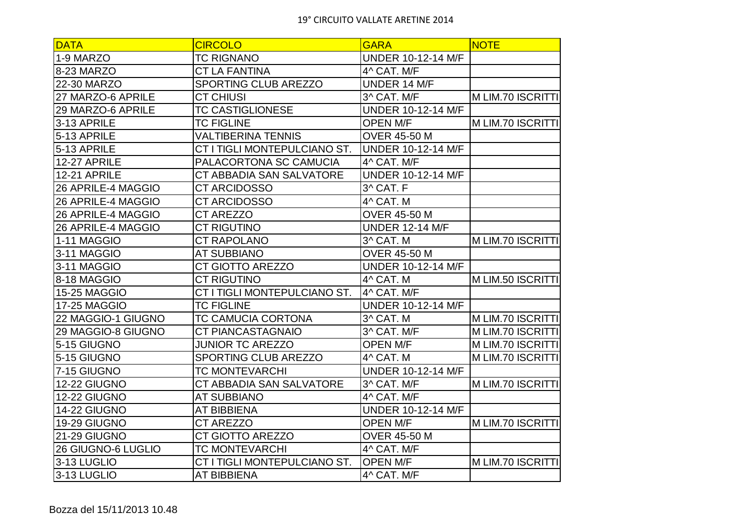| <b>DATA</b>         | <b>CIRCOLO</b>               | <b>GARA</b>               | <b>NOTE</b>       |
|---------------------|------------------------------|---------------------------|-------------------|
| 1-9 MARZO           | <b>TC RIGNANO</b>            | <b>UNDER 10-12-14 M/F</b> |                   |
| 8-23 MARZO          | <b>CT LA FANTINA</b>         | 4^ CAT. M/F               |                   |
| 22-30 MARZO         | SPORTING CLUB AREZZO         | UNDER 14 M/F              |                   |
| 27 MARZO-6 APRILE   | <b>CT CHIUSI</b>             | 3^ CAT. M/F               | M LIM.70 ISCRITTI |
| 29 MARZO-6 APRILE   | <b>TC CASTIGLIONESE</b>      | <b>UNDER 10-12-14 M/F</b> |                   |
| 3-13 APRILE         | <b>TC FIGLINE</b>            | <b>OPEN M/F</b>           | M LIM.70 ISCRITTI |
| 5-13 APRILE         | <b>VALTIBERINA TENNIS</b>    | <b>OVER 45-50 M</b>       |                   |
| 5-13 APRILE         | CT I TIGLI MONTEPULCIANO ST. | <b>UNDER 10-12-14 M/F</b> |                   |
| <b>12-27 APRILE</b> | PALACORTONA SC CAMUCIA       | 4^ CAT. M/F               |                   |
| <b>12-21 APRILE</b> | CT ABBADIA SAN SALVATORE     | <b>UNDER 10-12-14 M/F</b> |                   |
| 26 APRILE-4 MAGGIO  | <b>CT ARCIDOSSO</b>          | 3^ CAT. F                 |                   |
| 26 APRILE-4 MAGGIO  | <b>CT ARCIDOSSO</b>          | 4^ CAT. M                 |                   |
| 26 APRILE-4 MAGGIO  | CT AREZZO                    | <b>OVER 45-50 M</b>       |                   |
| 26 APRILE-4 MAGGIO  | <b>CT RIGUTINO</b>           | <b>UNDER 12-14 M/F</b>    |                   |
| 1-11 MAGGIO         | <b>CT RAPOLANO</b>           | 3^ CAT. M                 | M LIM.70 ISCRITTI |
| 3-11 MAGGIO         | <b>AT SUBBIANO</b>           | <b>OVER 45-50 M</b>       |                   |
| 3-11 MAGGIO         | CT GIOTTO AREZZO             | <b>UNDER 10-12-14 M/F</b> |                   |
| 8-18 MAGGIO         | <b>CT RIGUTINO</b>           | 4^ CAT. M                 | M LIM.50 ISCRITTI |
| 15-25 MAGGIO        | CT I TIGLI MONTEPULCIANO ST. | 4^ CAT. M/F               |                   |
| 17-25 MAGGIO        | <b>TC FIGLINE</b>            | <b>UNDER 10-12-14 M/F</b> |                   |
| 22 MAGGIO-1 GIUGNO  | <b>TC CAMUCIA CORTONA</b>    | 3^ CAT. M                 | M LIM.70 ISCRITTI |
| 29 MAGGIO-8 GIUGNO  | CT PIANCASTAGNAIO            | 3^ CAT. M/F               | M LIM.70 ISCRITTI |
| 5-15 GIUGNO         | <b>JUNIOR TC AREZZO</b>      | <b>OPEN M/F</b>           | M LIM.70 ISCRITTI |
| 5-15 GIUGNO         | SPORTING CLUB AREZZO         | 4^ CAT. M                 | M LIM.70 ISCRITTI |
| 7-15 GIUGNO         | <b>TC MONTEVARCHI</b>        | <b>UNDER 10-12-14 M/F</b> |                   |
| <b>12-22 GIUGNO</b> | CT ABBADIA SAN SALVATORE     | 3^ CAT. M/F               | M LIM.70 ISCRITTI |
| <b>12-22 GIUGNO</b> | <b>AT SUBBIANO</b>           | 4^ CAT. M/F               |                   |
| 14-22 GIUGNO        | <b>AT BIBBIENA</b>           | <b>UNDER 10-12-14 M/F</b> |                   |
| 19-29 GIUGNO        | <b>CT AREZZO</b>             | <b>OPEN M/F</b>           | M LIM.70 ISCRITTI |
| 21-29 GIUGNO        | CT GIOTTO AREZZO             | <b>OVER 45-50 M</b>       |                   |
| 26 GIUGNO-6 LUGLIO  | <b>TC MONTEVARCHI</b>        | 4^ CAT. M/F               |                   |
| 3-13 LUGLIO         | CT I TIGLI MONTEPULCIANO ST. | <b>OPEN M/F</b>           | M LIM.70 ISCRITTI |
| 3-13 LUGLIO         | <b>AT BIBBIENA</b>           | 4^ CAT. M/F               |                   |